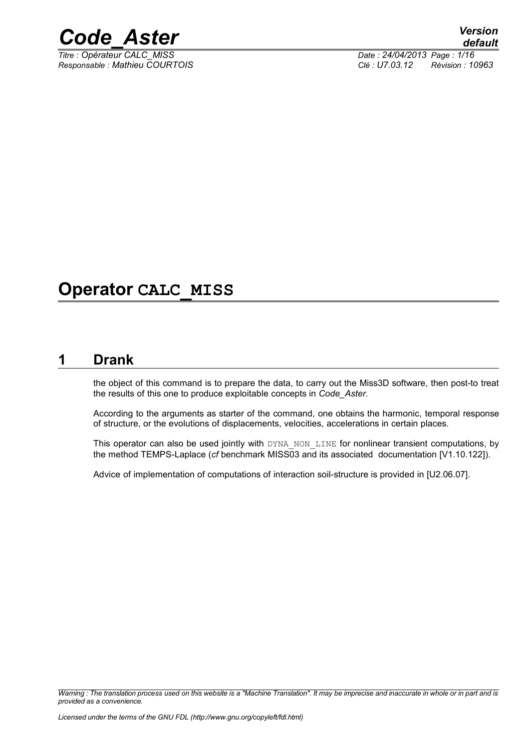

*Titre : Opérateur CALC\_MISS Date : 24/04/2013 Page : 1/16*

*Responsable : Mathieu COURTOIS Clé : U7.03.12 Révision : 10963*

# **Operator CALC\_MISS**

# **1 Drank**

<span id="page-0-0"></span>the object of this command is to prepare the data, to carry out the Miss3D software, then post-to treat the results of this one to produce exploitable concepts in *Code\_Aster*.

According to the arguments as starter of the command, one obtains the harmonic, temporal response of structure, or the evolutions of displacements, velocities, accelerations in certain places.

This operator can also be used jointly with DYNA\_NON\_LINE for nonlinear transient computations, by the method TEMPS-Laplace (*cf* benchmark MISS03 and its associated documentation [V1.10.122]).

Advice of implementation of computations of interaction soil-structure is provided in [U2.06.07].

*Warning : The translation process used on this website is a "Machine Translation". It may be imprecise and inaccurate in whole or in part and is provided as a convenience.*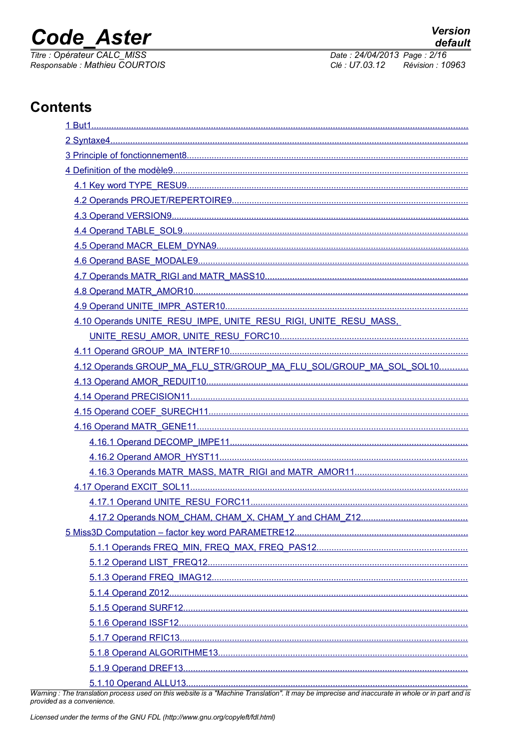# **Code Aster**

Titre : Opérateur CALC\_MISS Responsable : Mathieu COURTOIS Date: 24/04/2013 Page: 2/16 Révision : 10963 Clé : U7.03.12

# **Contents**

| 4.10 Operands UNITE RESU IMPE, UNITE RESU RIGI, UNITE RESU MASS.   |
|--------------------------------------------------------------------|
|                                                                    |
|                                                                    |
| 4.12 Operands GROUP_MA_FLU_STR/GROUP_MA_FLU_SOL/GROUP_MA_SOL_SOL10 |
|                                                                    |
|                                                                    |
|                                                                    |
|                                                                    |
|                                                                    |
|                                                                    |
|                                                                    |
|                                                                    |
|                                                                    |
|                                                                    |
|                                                                    |
|                                                                    |
|                                                                    |
|                                                                    |
|                                                                    |
|                                                                    |
|                                                                    |
|                                                                    |
|                                                                    |
|                                                                    |
|                                                                    |

Warning : The translation process used on this website is a "Machine Translation". It may be imprecise and inaccurate in whole or in part and is provided as a convenience.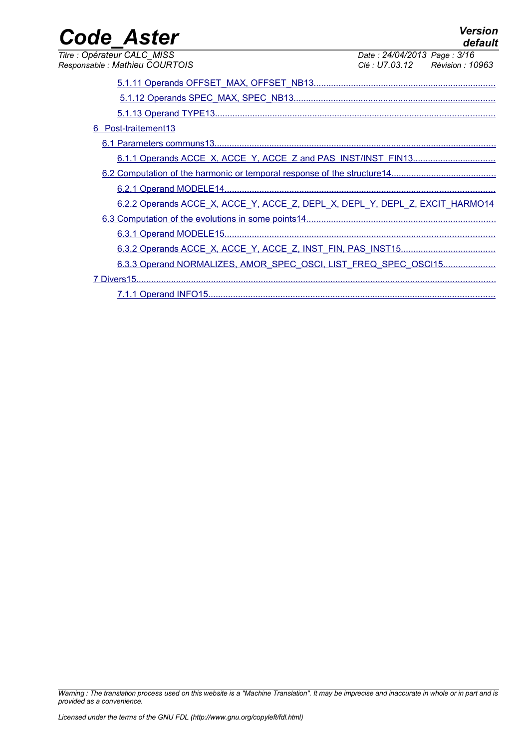| <b>Code Aster</b>                                                            |                                                                | <b>Version</b><br>default |
|------------------------------------------------------------------------------|----------------------------------------------------------------|---------------------------|
| Titre : Opérateur CALC MISS<br>Responsable : Mathieu COURTOIS                | Date: 24/04/2013 Page: 3/16<br>Clé : U7.03.12 Révision : 10963 |                           |
|                                                                              |                                                                |                           |
|                                                                              |                                                                |                           |
| 6 Post-traitement13                                                          |                                                                |                           |
|                                                                              |                                                                |                           |
|                                                                              |                                                                |                           |
|                                                                              |                                                                |                           |
|                                                                              |                                                                |                           |
| 6.2.2 Operands ACCE X, ACCE Y, ACCE Z, DEPL X, DEPL Y, DEPL Z, EXCIT HARMO14 |                                                                |                           |
|                                                                              |                                                                |                           |
|                                                                              |                                                                |                           |
|                                                                              |                                                                |                           |
| 6.3.3 Operand NORMALIZES, AMOR SPEC OSCI, LIST FREQ SPEC OSCI15              |                                                                |                           |
|                                                                              |                                                                |                           |
|                                                                              |                                                                |                           |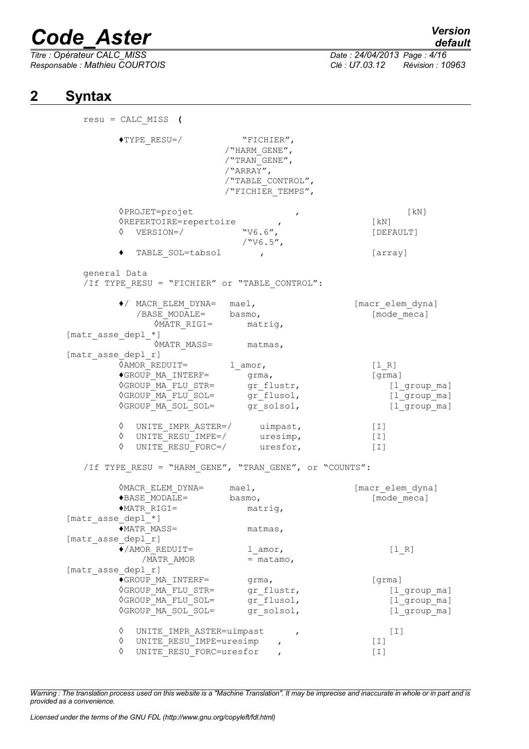*Titre : Opérateur CALC\_MISS Date : 24/04/2013 Page : 4/16*

# *default*

*Responsable : Mathieu COURTOIS Clé : U7.03.12 Révision : 10963*

# **2 Syntax**

<span id="page-3-0"></span>

| $resu = CALC_MISS$ (           |                                                                                                |                                                                                                     |                                |
|--------------------------------|------------------------------------------------------------------------------------------------|-----------------------------------------------------------------------------------------------------|--------------------------------|
| $\blacklozenge$ TYPE_RESU=/    |                                                                                                | "FICHIER",<br>/"HARM GENE",<br>/"TRAN GENE",<br>/"ARRAY",<br>/"TABLE CONTROL",<br>/"FICHIER TEMPS", |                                |
| 0PROJET=projet                 |                                                                                                | $\pmb{r}$                                                                                           | [ kN ]                         |
|                                | $\texttt{\textcolor{red}{\lozenge}REFCIRE-reportion} \hspace{1em} \textcolor{red}{\mathit{P}}$ |                                                                                                     | $\left[\text{kN}\right]$       |
|                                | $\Diamond$ VERSION=/                                                                           | "V6.6",<br>$/$ "V6.5",                                                                              | [DEFAULT]                      |
|                                | TABLE SOL=tabsol                                                                               | $\mathbf{r}$                                                                                        | [array]                        |
| general Data                   |                                                                                                | /If TYPE_RESU = "FICHIER" or "TABLE_CONTROL":                                                       |                                |
|                                |                                                                                                |                                                                                                     |                                |
|                                | // MACR_ELEM_DYNA= mael,<br>/BASE_MODALE= basmo,                                               |                                                                                                     | [macr_elem_dyna]               |
|                                |                                                                                                |                                                                                                     | [mode meca]                    |
|                                | WATR RIGI= matrig,                                                                             |                                                                                                     |                                |
| [matr asse depl *]             | $\Diamond$ MATR_MASS= matmas,                                                                  |                                                                                                     |                                |
| [matr asse depl r]             |                                                                                                |                                                                                                     |                                |
|                                | $\Diamond AMOR\_REDUIT =$ $l\_amor,$                                                           |                                                                                                     | [1 R]                          |
|                                |                                                                                                |                                                                                                     | [grma]                         |
|                                |                                                                                                |                                                                                                     | [l_group_ma]                   |
|                                |                                                                                                |                                                                                                     | $[1$ <sup>o</sup> group $m$ a] |
|                                |                                                                                                |                                                                                                     | [1 group ma]                   |
|                                | ↑ UNITE IMPR ASTER=/ uimpast,                                                                  |                                                                                                     | $[1]$                          |
|                                | $\Diamond$ UNITE RESU IMPE=/ uresimp,                                                          |                                                                                                     | [I]                            |
|                                | $\Diamond$ UNITE RESU FORC=/ uresfor,                                                          |                                                                                                     | $[1]$                          |
|                                |                                                                                                | /If TYPE_RESU = "HARM_GENE", "TRAN_GENE", or "COUNTS":                                              |                                |
|                                | VMACR ELEM DYNA= mael,                                                                         |                                                                                                     | [macr elem dyna]               |
|                                | ◆BASE MODALE=                                                                                  | basmo,                                                                                              | [mode meca]                    |
| $*$ MATR RIGI=                 |                                                                                                | matriq,                                                                                             |                                |
| [matr_asse_depl_*]             |                                                                                                |                                                                                                     |                                |
| $*$ MATR MASS=                 |                                                                                                | matmas,                                                                                             |                                |
| [matr asse depl r]             |                                                                                                |                                                                                                     |                                |
| $\blacklozenge$ / AMOR REDUIT= |                                                                                                | l amor,                                                                                             | [1 R]                          |
|                                | /MATR AMOR                                                                                     | $=$ matamo,                                                                                         |                                |
| [matr asse depl r]             |                                                                                                |                                                                                                     |                                |
|                                | $\blacklozenge$ GROUP MA INTERF=<br><b>OGROUP MA FLU STR=</b>                                  | qrma,<br>gr flustr,                                                                                 | [grma]                         |
|                                | <b>OGROUP MA FLU SOL=</b>                                                                      | gr flusol,                                                                                          | [1 group ma]<br>[1 group ma]   |
|                                | <b>OGROUP MA SOL SOL=</b>                                                                      | gr solsol,                                                                                          | [1 group ma]                   |
| ♦                              | UNITE IMPR ASTER=uimpast                                                                       | $\mathbf{r}$                                                                                        | [I]                            |
| ♦                              | UNITE RESU IMPE=uresimp                                                                        | $\mathbf{r}$                                                                                        | $[1]$                          |
| ♦                              | UNITE RESU FORC=uresfor                                                                        |                                                                                                     | [I]                            |

*Warning : The translation process used on this website is a "Machine Translation". It may be imprecise and inaccurate in whole or in part and is provided as a convenience.*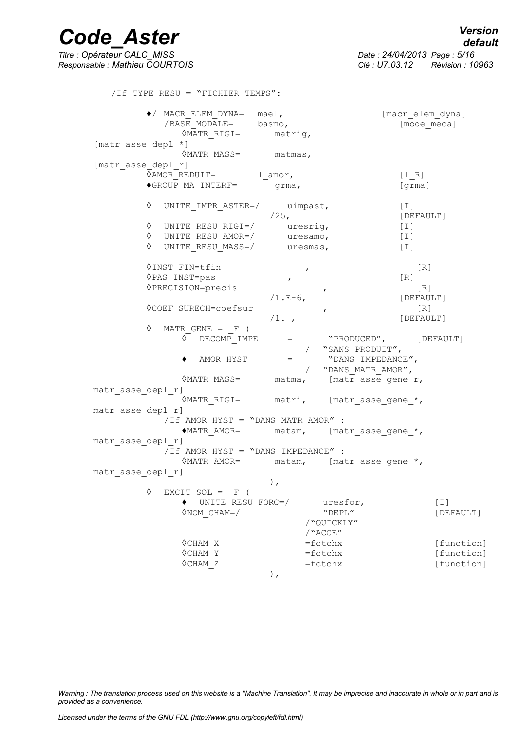*Titre : Opérateur CALC\_MISS Date : 24/04/2013 Page : 5/16 Responsable : Mathieu COURTOIS Clé : U7.03.12 Révision : 10963* /If TYPE\_RESU = "FICHIER\_TEMPS": ♦/ MACR\_ELEM\_DYNA= mael, [macr\_elem\_dyna]  $\overline{A}$  /BASE MODALE= basmo,  $\overline{A}$  [mode meca] ◊MATR\_RIGI= matrig, [matr asse depl \*] **OMATR MASS=** matmas, [matr asse depl r]  $\sqrt{M}$ OR $R$ EDUIT= 1 amor, [l R]  $\bullet$ GROUP MA INTERF=  $\frac{1}{\text{grama}}$ , [grma] ◊ UNITE\_IMPR\_ASTER=/ uimpast, [I] /25, [DEFAULT] ◊ UNITE\_RESU\_RIGI=/ uresrig, [I] ◊ UNITE\_RESU\_AMOR=/ uresamo, [I] ◊ UNITE\_RESU\_MASS=/ uresmas, [I] ◊INST\_FIN=tfin , [R]  $\sqrt{PAS}$  INST=pas , [R] ◊PRECISION=precis , [R] /1.E-6, [DEFAULT] ◊COEF\_SURECH=coefsur , [R] /1. , [DEFAULT]  $\Diamond$  MATR GENE = F (  $\overline{\lozenge}$  DECOMP IMPE = "PRODUCED", [DEFAULT] / "SANS\_PRODUIT", ♦ AMOR\_HYST = "DANS\_IMPEDANCE", / "DANS\_MATR\_AMOR", ◊MATR\_MASS= matma, [matr\_asse\_gene\_r, matr asse depl r] ◊MATR\_RIGI= matri, [matr\_asse\_gene\_\*, matr asse depl r]  $\sqrt{I}$ f AMOR HYST = "DANS MATR AMOR" : ♦MATR\_AMOR= matam, [matr\_asse\_gene\_\*, matr asse depl r]  $\sqrt{I}$ f AMOR HYST = "DANS IMPEDANCE" : ◊MATR\_AMOR= matam, [matr\_asse\_gene\_\*, matr asse depl r] ),  $\Diamond$  EXCIT SOL = F (  $\bullet$  UNITE RESU FORC=/ uresfor, [I]  $\Diamond$ NOM CHAM=/ "DEPL" "DEPL" [DEFAULT] /"QUICKLY" /"ACCE"  $\Diamond$ CHAM X =fctchx = [function] ◊CHAM\_Y =fctchx [function] ◊CHAM\_Z =fctchx [function]

),

*Warning : The translation process used on this website is a "Machine Translation". It may be imprecise and inaccurate in whole or in part and is provided as a convenience.*

*Licensed under the terms of the GNU FDL (http://www.gnu.org/copyleft/fdl.html)*

*default*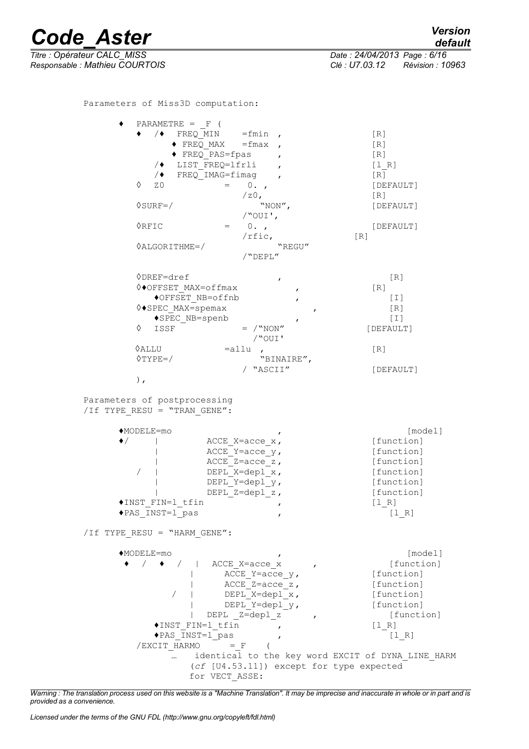*Titre : Opérateur CALC\_MISS Date : 24/04/2013 Page : 6/16 Responsable : Mathieu COURTOIS Clé : U7.03.12 Révision : 10963*

Parameters of Miss3D computation:

| PARAMETRE = $F($                            |                                           |                                                   |
|---------------------------------------------|-------------------------------------------|---------------------------------------------------|
|                                             | $\sqrt{\bullet}$ FREQ_MIN =fmin ,         | [R]                                               |
|                                             | $\bullet$ FREQ MAX = fmax ,               | [R]                                               |
|                                             | $\blacklozenge$ FREQ PAS=fpas             | [R]                                               |
|                                             | $\sqrt{\bullet}$ LIST FREQ=1frli          | [1 R]                                             |
|                                             | $/$ FREQ IMAG=fimag,                      |                                                   |
|                                             |                                           | [R]                                               |
| ♦<br>ZO.                                    | $= 0.$                                    | [DEFAULT]                                         |
|                                             | $/z0$ ,                                   | [R]                                               |
| $\Diamond$ SURF=/                           | "NON",                                    | [DEFAULT]                                         |
|                                             | $\sqrt{$ out $\prime$ ,                   |                                                   |
| $\Diamond$ RFIC                             | $= 0.7$                                   | [DEFAULT]                                         |
|                                             | $/r$ fic,                                 | [R]                                               |
| $\Diamond$ ALGORITHME=/                     | "REGU"                                    |                                                   |
|                                             | /"DEPL"                                   |                                                   |
|                                             |                                           |                                                   |
| ◊DREF=dref                                  |                                           | [R]                                               |
| $\Diamond \bullet$ OFFSET MAX=offmax        | $\pmb{r}$                                 | [R]                                               |
|                                             | ◆OFFSET NB=offnb<br>$\mathbf{r}$          | $[1]$                                             |
| $\Diamond$ SPEC MAX=spemax                  | $\mathbf{r}$                              | [R]                                               |
|                                             | ◆SPEC NB=spenb<br>$\mathbf{r}$            | $\lbrack \ \bot \ \rbrack$                        |
| ♦<br>ISSF                                   | $=$ / "NON"                               | [DEFAULT]                                         |
|                                             | /"OUI'                                    |                                                   |
| $\Diamond$ ALLU                             | $=$ allu,                                 | $\lceil R \rceil$                                 |
| $\Diamond$ TYPE=/                           | "BINAIRE",                                |                                                   |
|                                             | / "ASCII"                                 | [DEFAULT]                                         |
|                                             |                                           |                                                   |
| $)$ ,                                       |                                           |                                                   |
| /If TYPE RESU = "TRAN GENE":<br>$MODELE=mo$ |                                           | [model]                                           |
| $\bullet/$                                  | ACCE X=acce $x$ ,                         | [function]                                        |
|                                             | ACCE Y=acce $y$ ,                         | [function]                                        |
|                                             | ACCE Z=acce $z$ ,                         | [function]                                        |
|                                             | DEPL X=depl x,                            | [function]                                        |
|                                             | DEPL Y=depl $y$ ,                         | [function]                                        |
|                                             | DEPL Z=depl z,                            | [function]                                        |
| ◆INST FIN=1 tfin                            | $\pmb{r}$                                 | [1 R]                                             |
| ◆PAS INST=1_pas                             |                                           | $[1_R]$                                           |
|                                             |                                           |                                                   |
| /If TYPE RESU = "HARM GENE":                |                                           |                                                   |
| $\blacklozenge$ MODELE=mo                   |                                           | [model]                                           |
|                                             | $\bullet$ / $\bullet$ /   ACCE X=acce x , | [function]                                        |
|                                             | $\text{ACCE\_Y} = \text{acce\_y}$ ,       | [function]                                        |
|                                             | $\text{ACCE\_Z} = \text{acce\_z}$ ,       | [function]                                        |
|                                             | DEPL X=depl x,                            | [function]                                        |
|                                             | DEPL Y=depl $y$ ,                         | [function]                                        |
|                                             | DEPL Z=depl z ,                           |                                                   |
|                                             |                                           | [function]                                        |
|                                             | ◆INST FIN=1 tfin                          | [1 R]                                             |
|                                             | ◆PAS INST=1 pas<br>$\mathbf{r}$           | $[1 R]$                                           |
|                                             | $/EXCIT$ HARMO = F                        |                                                   |
|                                             |                                           | identical to the key word EXCIT of DYNA LINE HARM |
|                                             | (cf [U4.53.11]) except for type expected  |                                                   |
|                                             | for VECT ASSE:                            |                                                   |

*Warning : The translation process used on this website is a "Machine Translation". It may be imprecise and inaccurate in whole or in part and is provided as a convenience.*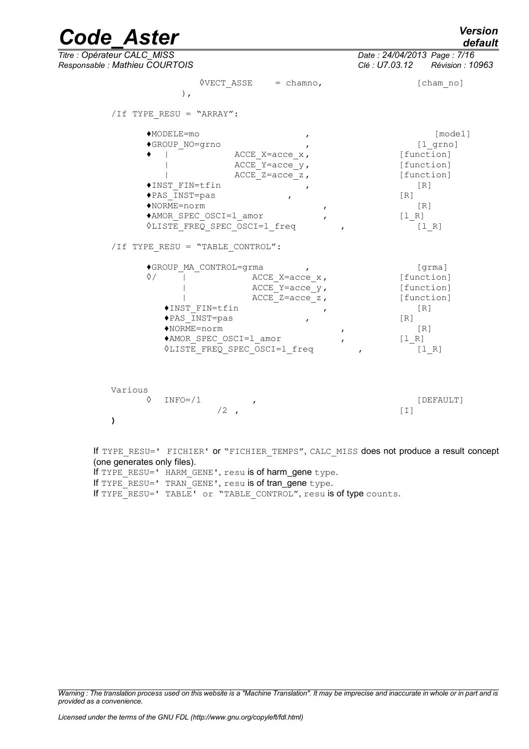# *Code\_Aster Version*  $\overline{T}$ itre : Opérateur CALC\_MISS

*default*

*Responsable : Mathieu COURTOIS Clé : U7.03.12 Révision : 10963*

|              | /If TYPE RESU = "ARRAY":                                                                                                       |                                                           |                                                                                   |
|--------------|--------------------------------------------------------------------------------------------------------------------------------|-----------------------------------------------------------|-----------------------------------------------------------------------------------|
|              | ◆MODELE=mo                                                                                                                     | $\mathbf{r}$                                              | [model]                                                                           |
|              | ◆GROUP NO=grno                                                                                                                 |                                                           | $[1$ grno]                                                                        |
|              |                                                                                                                                | ACCE X=acce $x$ ,                                         | [function]                                                                        |
|              |                                                                                                                                | ACCE Y=acce $y$ ,<br>$ACCE_Z = acce_ z$ ,                 | [function]<br>[function]                                                          |
|              | ◆INST FIN=tfin                                                                                                                 |                                                           | [R]                                                                               |
|              | ◆PAS INST=pas                                                                                                                  |                                                           | $\lceil R \rceil$                                                                 |
|              | $NORME = norm$                                                                                                                 | $\mathbf{r}$                                              | $\lceil R \rceil$                                                                 |
|              | ◆AMOR SPEC OSCI=1 amor                                                                                                         |                                                           | $[1_R]$                                                                           |
|              | <b>OLISTE FREQ SPEC OSCI=1 freq</b>                                                                                            |                                                           | [1 R]                                                                             |
|              | ◆INST FIN=tfin<br>◆PAS INST=pas<br>$\blacklozenge$ NORME=norm<br>◆AMOR SPEC OSCI=1 amor<br><b>OLISTE FREQ SPEC OSCI=1 freq</b> | ACCE Y=acce $y$ ,<br>ACCE $Z = acce_ z$ ,<br>$\mathbf{r}$ | [function]<br>[function]<br>[R]<br>$\lceil R \rceil$<br>[R]<br>$[1_R]$<br>$[1 R]$ |
| Various<br>♦ | $INFO= / 1$<br>$/2$ ,                                                                                                          | $\mathbf{r}$                                              | [DEFAULT]<br>$\lceil 1 \rceil$                                                    |

(one generates only files). If TYPE RESU=' HARM GENE', resu is of harm\_gene type. If TYPE<sup>RESU='</sup> TRAN<sup>GENE'</sup>, resu is of trangene type. If TYPE\_RESU=' TABLE' or "TABLE\_CONTROL", resu is of type counts.

*Warning : The translation process used on this website is a "Machine Translation". It may be imprecise and inaccurate in whole or in part and is provided as a convenience.*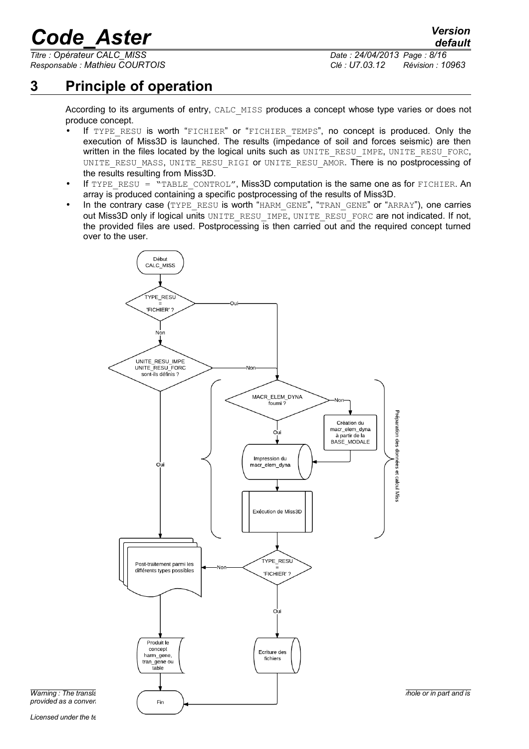*Titre : Opérateur CALC\_MISS Date : 24/04/2013 Page : 8/16*

*Responsable : Mathieu COURTOIS Clé : U7.03.12 Révision : 10963*

# **3 Principle of operation**

<span id="page-7-0"></span>According to its arguments of entry, CALC\_MISS produces a concept whose type varies or does not produce concept.

- If TYPE RESU is worth "FICHIER" or "FICHIER TEMPS", no concept is produced. Only the execution of Miss3D is launched. The results (impedance of soil and forces seismic) are then written in the files located by the logical units such as UNITE\_RESU\_IMPE, UNITE\_RESU\_FORC, UNITE RESU MASS, UNITE RESU RIGI OF UNITE RESU AMOR. There is no postprocessing of the results resulting from Miss3D.
- If TYPE RESU = "TABLE CONTROL", Miss3D computation is the same one as for FICHIER. An array is produced containing a specific postprocessing of the results of Miss3D.
- In the contrary case (TYPE\_RESU is worth "HARM\_GENE", "TRAN\_GENE" or "ARRAY"), one carries out Miss3D only if logical units UNITE\_RESU\_IMPE, UNITE\_RESU\_FORC are not indicated. If not, the provided files are used. Postprocessing is then carried out and the required concept turned over to the user.



*provided as a convenience*.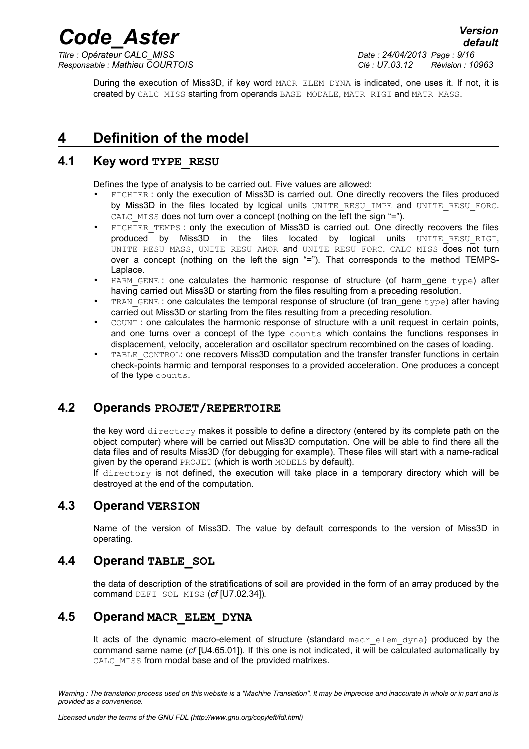*Titre : Opérateur CALC\_MISS Date : 24/04/2013 Page : 9/16*

*Responsable : Mathieu COURTOIS Clé : U7.03.12 Révision : 10963*

*default*

During the execution of Miss3D, if key word MACR\_ELEM\_DYNA is indicated, one uses it. If not, it is created by CALC\_MISS starting from operands BASE\_MODALE, MATR\_RIGI and MATR\_MASS.

*Code\_Aster Version*

# <span id="page-8-5"></span>**4 Definition of the model**

## **4.1 Key word TYPE\_RESU**

<span id="page-8-4"></span>Defines the type of analysis to be carried out. Five values are allowed:

- FICHIER : only the execution of Miss3D is carried out. One directly recovers the files produced by Miss3D in the files located by logical units UNITE RESU\_IMPE and UNITE\_RESU\_FORC. CALC MISS does not turn over a concept (nothing on the left the sign "=").
- FICHIER TEMPS : only the execution of Miss3D is carried out. One directly recovers the files  $p$ roduced by Miss3D in the files located by logical units UNITE RESU RIGI, UNITE RESU MASS, UNITE RESU AMOR and UNITE RESU FORC. CALC MISS does not turn over a concept (nothing on the left the sign "="). That corresponds to the method TEMPS-Laplace.
- HARM GENE : one calculates the harmonic response of structure (of harm gene  $type$ ) after having carried out Miss3D or starting from the files resulting from a preceding resolution.
- TRAN GENE : one calculates the temporal response of structure (of tran\_gene  $t$ ype) after having carried out Miss3D or starting from the files resulting from a preceding resolution.
- COUNT : one calculates the harmonic response of structure with a unit request in certain points, and one turns over a concept of the type counts which contains the functions responses in displacement, velocity, acceleration and oscillator spectrum recombined on the cases of loading.
- TABLE\_CONTROL: one recovers Miss3D computation and the transfer transfer functions in certain check-points harmic and temporal responses to a provided acceleration. One produces a concept of the type counts.

# **4.2 Operands PROJET/REPERTOIRE**

<span id="page-8-3"></span>the key word directory makes it possible to define a directory (entered by its complete path on the object computer) where will be carried out Miss3D computation. One will be able to find there all the data files and of results Miss3D (for debugging for example). These files will start with a name-radical given by the operand PROJET (which is worth MODELS by default).

If directory is not defined, the execution will take place in a temporary directory which will be destroyed at the end of the computation.

## **4.3 Operand VERSION**

<span id="page-8-2"></span>Name of the version of Miss3D. The value by default corresponds to the version of Miss3D in operating.

## **4.4 Operand TABLE\_SOL**

<span id="page-8-1"></span>the data of description of the stratifications of soil are provided in the form of an array produced by the command DEFI\_SOL\_MISS (*cf* [U7.02.34]).

## **4.5 Operand MACR\_ELEM\_DYNA**

<span id="page-8-0"></span>It acts of the dynamic macro-element of structure (standard macr elem dyna) produced by the command same name (*cf* [U4.65.01]). If this one is not indicated, it will be calculated automatically by CALC MISS from modal base and of the provided matrixes.

*Warning : The translation process used on this website is a "Machine Translation". It may be imprecise and inaccurate in whole or in part and is provided as a convenience.*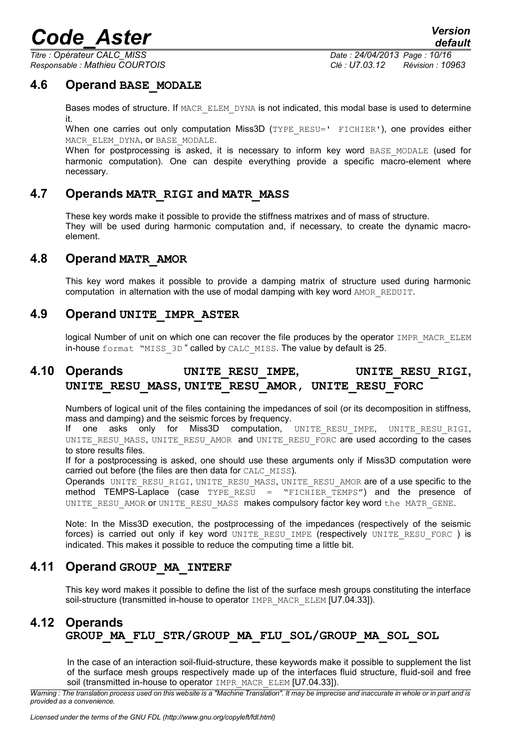*Titre : Opérateur CALC\_MISS Date : 24/04/2013 Page : 10/16*

*Responsable : Mathieu COURTOIS Clé : U7.03.12 Révision : 10963*

*default*

## **4.6 Operand BASE\_MODALE**

<span id="page-9-6"></span>Bases modes of structure. If MACR ELEM DYNA is not indicated, this modal base is used to determine it.

When one carries out only computation Miss3D (TYPE RESU=' FICHIER'), one provides either MACR\_ELEM\_DYNA, OT BASE\_MODALE.

When for postprocessing is asked, it is necessary to inform key word BASE MODALE (used for harmonic computation). One can despite everything provide a specific macro-element where necessary.

## **4.7 Operands MATR\_RIGI and MATR\_MASS**

<span id="page-9-5"></span>These key words make it possible to provide the stiffness matrixes and of mass of structure. They will be used during harmonic computation and, if necessary, to create the dynamic macroelement.

### **4.8 Operand MATR\_AMOR**

<span id="page-9-4"></span>This key word makes it possible to provide a damping matrix of structure used during harmonic computation in alternation with the use of modal damping with key word AMOR\_REDUIT.

## **4.9 Operand UNITE\_IMPR\_ASTER**

<span id="page-9-3"></span><span id="page-9-2"></span>logical Number of unit on which one can recover the file produces by the operator IMPR\_MACR\_ELEM in-house format "MISS\_3D" called by CALC\_MISS. The value by default is 25.

# **4.10 Operands UNITE\_RESU\_IMPE, UNITE\_RESU\_RIGI, UNITE\_RESU\_MASS, UNITE\_RESU\_AMOR, UNITE\_RESU\_FORC**

Numbers of logical unit of the files containing the impedances of soil (or its decomposition in stiffness, mass and damping) and the seismic forces by frequency.

If one asks only for Miss3D computation, UNITE\_RESU\_IMPE, UNITE\_RESU\_RIGI, UNITE\_RESU\_MASS, UNITE\_RESU\_AMOR and UNITE\_RESU\_FORC are used according to the cases to store results files.

If for a postprocessing is asked, one should use these arguments only if Miss3D computation were carried out before (the files are then data for CALC\_MISS).

Operands UNITE\_RESU\_RIGI, UNITE\_RESU\_MASS, UNITE\_RESU\_AMOR are of a use specific to the method TEMPS-Laplace (case  $TYPE$  RESU = "FICHIER TEMPS") and the presence of UNITE\_RESU\_AMOR OF UNITE\_RESU\_MASS\_makes compulsory factor key word the MATR\_GENE.

Note: In the Miss3D execution, the postprocessing of the impedances (respectively of the seismic forces) is carried out only if key word UNITE\_RESU\_IMPE (respectively UNITE\_RESU\_FORC ) is indicated. This makes it possible to reduce the computing time a little bit.

## **4.11 Operand GROUP\_MA\_INTERF**

<span id="page-9-1"></span><span id="page-9-0"></span>This key word makes it possible to define the list of the surface mesh groups constituting the interface soil-structure (transmitted in-house to operator IMPR\_MACR\_ELEM [U7.04.33]).

# **4.12 Operands GROUP\_MA\_FLU\_STR/GROUP\_MA\_FLU\_SOL/GROUP\_MA\_SOL\_SOL**

In the case of an interaction soil-fluid-structure, these keywords make it possible to supplement the list of the surface mesh groups respectively made up of the interfaces fluid structure, fluid-soil and free soil (transmitted in-house to operator IMPR\_MACR\_ELEM [U7.04.33]).

*Warning : The translation process used on this website is a "Machine Translation". It may be imprecise and inaccurate in whole or in part and is provided as a convenience.*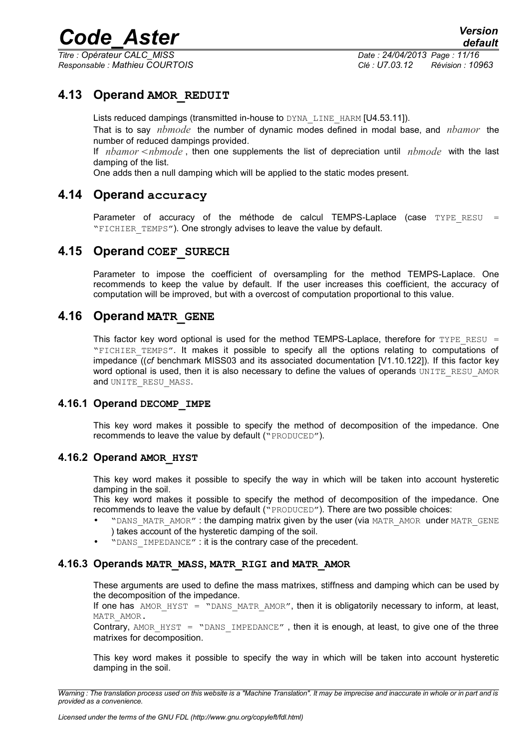*Titre : Opérateur CALC\_MISS Date : 24/04/2013 Page : 11/16*

*Responsable : Mathieu COURTOIS Clé : U7.03.12 Révision : 10963*

## **4.13 Operand AMOR\_REDUIT**

<span id="page-10-6"></span>Lists reduced dampings (transmitted in-house to DYNA\_LINE\_HARM [U4.53.11]). That is to say *nbmode* the number of dynamic modes defined in modal base, and *nbamor* the number of reduced dampings provided.

If *nbamor*  $\leq$ *nbmode*, then one supplements the list of depreciation until *nbmode* with the last damping of the list.

<span id="page-10-5"></span>One adds then a null damping which will be applied to the static modes present.

## **4.14 Operand accuracy**

Parameter of accuracy of the méthode de calcul TEMPS-Laplace (case  $TYPE$  RESU = "FICHIER TEMPS"). One strongly advises to leave the value by default.

## **4.15 Operand COEF\_SURECH**

<span id="page-10-4"></span>Parameter to impose the coefficient of oversampling for the method TEMPS-Laplace. One recommends to keep the value by default. If the user increases this coefficient, the accuracy of computation will be improved, but with a overcost of computation proportional to this value.

## **4.16 Operand MATR\_GENE**

<span id="page-10-3"></span>This factor key word optional is used for the method TEMPS-Laplace, therefore for TYPE\_RESU = "FICHIER TEMPS". It makes it possible to specify all the options relating to computations of impedance ((*cf* benchmark MISS03 and its associated documentation [V1.10.122]). If this factor key word optional is used, then it is also necessary to define the values of operands UNITE\_RESU\_AMOR and UNITE\_RESU\_MASS.

#### **4.16.1 Operand DECOMP\_IMPE**

<span id="page-10-2"></span>This key word makes it possible to specify the method of decomposition of the impedance. One recommends to leave the value by default ("PRODUCED").

#### **4.16.2 Operand AMOR\_HYST**

<span id="page-10-1"></span>This key word makes it possible to specify the way in which will be taken into account hysteretic damping in the soil.

This key word makes it possible to specify the method of decomposition of the impedance. One recommends to leave the value by default ("PRODUCED"). There are two possible choices:

- "DANS MATR AMOR" : the damping matrix given by the user (via MATR AMOR under MATR GENE ) takes account of the hysteretic damping of the soil.
- <span id="page-10-0"></span>• "DANS\_IMPEDANCE" : it is the contrary case of the precedent.

#### **4.16.3 Operands MATR\_MASS, MATR\_RIGI and MATR\_AMOR**

These arguments are used to define the mass matrixes, stiffness and damping which can be used by the decomposition of the impedance.

If one has  $AMOR$  HYST = "DANS MATR AMOR", then it is obligatorily necessary to inform, at least, MATR\_AMOR.

Contrary, AMOR  $HYST = "DANSIMPEDANCE",$  then it is enough, at least, to give one of the three matrixes for decomposition.

This key word makes it possible to specify the way in which will be taken into account hysteretic damping in the soil.

*Warning : The translation process used on this website is a "Machine Translation". It may be imprecise and inaccurate in whole or in part and is provided as a convenience.*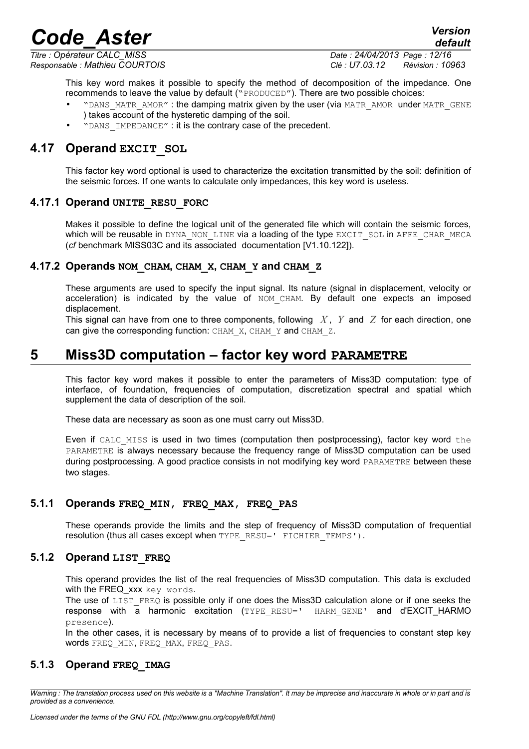*Titre : Opérateur CALC\_MISS Date : 24/04/2013 Page : 12/16*

*Responsable : Mathieu COURTOIS Clé : U7.03.12 Révision : 10963*

*default*

This key word makes it possible to specify the method of decomposition of the impedance. One recommends to leave the value by default ("PRODUCED"). There are two possible choices:

- "DANS\_MATR\_AMOR" : the damping matrix given by the user (via MATR\_AMOR under MATR\_GENE ) takes account of the hysteretic damping of the soil.
- <span id="page-11-6"></span>"DANS IMPEDANCE" : it is the contrary case of the precedent.

## **4.17 Operand EXCIT\_SOL**

This factor key word optional is used to characterize the excitation transmitted by the soil: definition of the seismic forces. If one wants to calculate only impedances, this key word is useless.

#### **4.17.1 Operand UNITE\_RESU\_FORC**

<span id="page-11-5"></span>Makes it possible to define the logical unit of the generated file which will contain the seismic forces, which will be reusable in DYNA\_NON\_LINE via a loading of the type EXCIT\_SOL in AFFE\_CHAR\_MECA (*cf* benchmark MISS03C and its associated documentation [V1.10.122]).

#### **4.17.2 Operands NOM\_CHAM, CHAM\_X, CHAM\_Y and CHAM\_Z**

<span id="page-11-4"></span>These arguments are used to specify the input signal. Its nature (signal in displacement, velocity or acceleration) is indicated by the value of NOM CHAM. By default one expects an imposed displacement.

This signal can have from one to three components, following *X* , *Y* and *Z* for each direction, one can give the corresponding function: CHAM X, CHAM Y and CHAM Z.

# **5 Miss3D computation – factor key word PARAMETRE**

<span id="page-11-3"></span>This factor key word makes it possible to enter the parameters of Miss3D computation: type of interface, of foundation, frequencies of computation, discretization spectral and spatial which supplement the data of description of the soil.

These data are necessary as soon as one must carry out Miss3D.

Even if CALC MISS is used in two times (computation then postprocessing), factor key word the PARAMETRE is always necessary because the frequency range of Miss3D computation can be used during postprocessing. A good practice consists in not modifying key word PARAMETRE between these two stages.

#### **5.1.1 Operands FREQ\_MIN, FREQ\_MAX, FREQ\_PAS**

<span id="page-11-2"></span>These operands provide the limits and the step of frequency of Miss3D computation of frequential resolution (thus all cases except when TYPE\_RESU=' FICHIER\_TEMPS').

#### **5.1.2 Operand LIST\_FREQ**

<span id="page-11-1"></span>This operand provides the list of the real frequencies of Miss3D computation. This data is excluded with the FREQ xxx key words.

The use of LIST FREQ is possible only if one does the Miss3D calculation alone or if one seeks the response with a harmonic excitation (TYPE RESU=' HARM GENE' and d'EXCIT HARMO presence).

<span id="page-11-0"></span>In the other cases, it is necessary by means of to provide a list of frequencies to constant step key words FREQ\_MIN, FREQ\_MAX, FREQ\_PAS.

#### **5.1.3 Operand FREQ\_IMAG**

*Warning : The translation process used on this website is a "Machine Translation". It may be imprecise and inaccurate in whole or in part and is provided as a convenience.*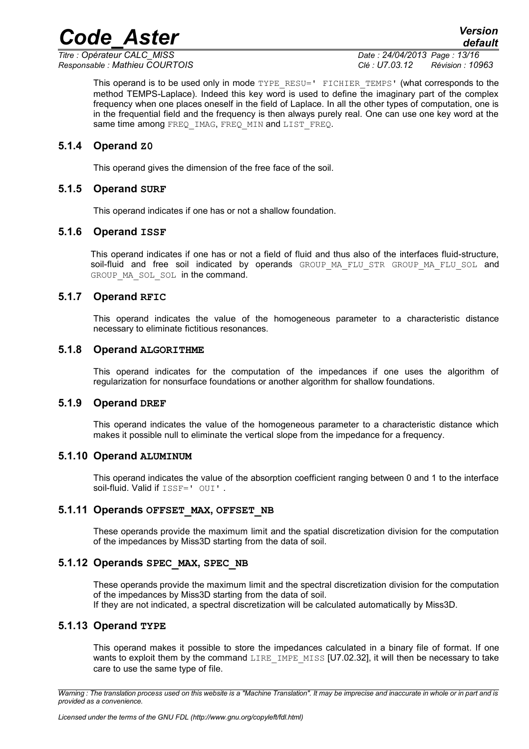*Titre : Opérateur CALC\_MISS Date : 24/04/2013 Page : 13/16*

*Responsable : Mathieu COURTOIS Clé : U7.03.12 Révision : 10963*

*default*

This operand is to be used only in mode TYPE\_RESU=' FICHIER\_TEMPS' (what corresponds to the method TEMPS-Laplace). Indeed this key word is used to define the imaginary part of the complex frequency when one places oneself in the field of Laplace. In all the other types of computation, one is in the frequential field and the frequency is then always purely real. One can use one key word at the same time among FREQ\_IMAG, FREQ\_MIN and LIST\_FREQ.

*Code\_Aster Version*

#### **5.1.4 Operand Z0**

<span id="page-12-6"></span><span id="page-12-5"></span>This operand gives the dimension of the free face of the soil.

#### **5.1.5 Operand SURF**

<span id="page-12-4"></span>This operand indicates if one has or not a shallow foundation.

#### **5.1.6 Operand ISSF**

This operand indicates if one has or not a field of fluid and thus also of the interfaces fluid-structure, soil-fluid and free soil indicated by operands GROUP MA FLU STR GROUP MA FLU SOL and GROUP MA SOL SOL in the command.

#### **5.1.7 Operand RFIC**

<span id="page-12-3"></span>This operand indicates the value of the homogeneous parameter to a characteristic distance necessary to eliminate fictitious resonances.

#### **5.1.8 Operand ALGORITHME**

<span id="page-12-2"></span>This operand indicates for the computation of the impedances if one uses the algorithm of regularization for nonsurface foundations or another algorithm for shallow foundations.

#### **5.1.9 Operand DREF**

<span id="page-12-1"></span>This operand indicates the value of the homogeneous parameter to a characteristic distance which makes it possible null to eliminate the vertical slope from the impedance for a frequency.

#### **5.1.10 Operand ALUMINUM**

<span id="page-12-0"></span>This operand indicates the value of the absorption coefficient ranging between 0 and 1 to the interface soil-fluid. Valid if ISSF=' OUI'.

#### **5.1.11 Operands OFFSET\_MAX, OFFSET\_NB**

<span id="page-12-9"></span>These operands provide the maximum limit and the spatial discretization division for the computation of the impedances by Miss3D starting from the data of soil.

#### **5.1.12 Operands SPEC\_MAX, SPEC\_NB**

<span id="page-12-8"></span>These operands provide the maximum limit and the spectral discretization division for the computation of the impedances by Miss3D starting from the data of soil. If they are not indicated, a spectral discretization will be calculated automatically by Miss3D.

#### **5.1.13 Operand TYPE**

<span id="page-12-7"></span>This operand makes it possible to store the impedances calculated in a binary file of format. If one wants to exploit them by the command LIRE IMPE MISS [U7.02.32], it will then be necessary to take care to use the same type of file.

*Warning : The translation process used on this website is a "Machine Translation". It may be imprecise and inaccurate in whole or in part and is provided as a convenience.*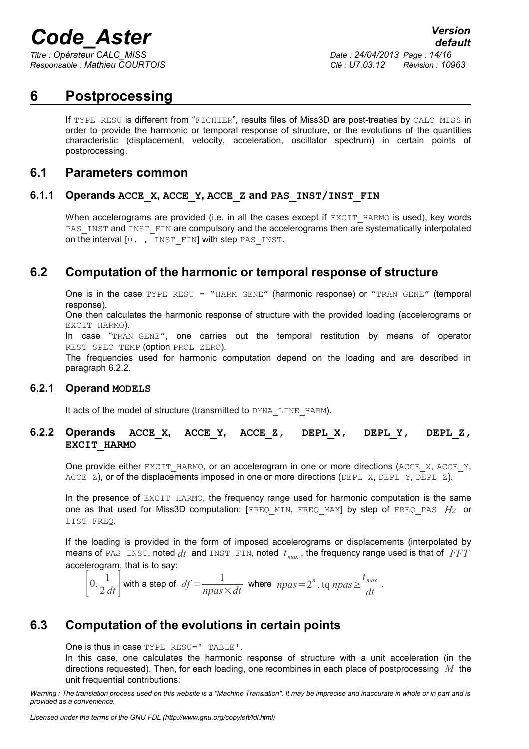*Titre : Opérateur CALC\_MISS Date : 24/04/2013 Page : 14/16*

*Responsable : Mathieu COURTOIS Clé : U7.03.12 Révision : 10963*

# **6 Postprocessing**

<span id="page-13-6"></span>If TYPE RESU is different from "FICHIER", results files of Miss3D are post-treaties by CALC\_MISS in order to provide the harmonic or temporal response of structure, or the evolutions of the quantities characteristic (displacement, velocity, acceleration, oscillator spectrum) in certain points of postprocessing.

### <span id="page-13-5"></span>**6.1 Parameters common**

#### **6.1.1 Operands ACCE\_X, ACCE\_Y, ACCE\_Z and PAS\_INST/INST\_FIN**

<span id="page-13-4"></span>When accelerograms are provided (i.e. in all the cases except if EXCIT HARMO is used), key words PAS\_INST and INST\_FIN are compulsory and the accelerograms then are systematically interpolated on the interval  $[0, t]$  instertual with step PAS INST.

# **6.2 Computation of the harmonic or temporal response of structure**

<span id="page-13-3"></span>One is in the case  $TYPE$  RESU = "HARM GENE" (harmonic response) or "TRAN GENE" (temporal response).

One then calculates the harmonic response of structure with the provided loading (accelerograms or EXCIT HARMO).

In case "TRAN GENE", one carries out the temporal restitution by means of operator REST\_SPEC\_TEMP (option PROL\_ZERO).

The frequencies used for harmonic computation depend on the loading and are described in paragraph [6.2.2.](#page-13-1)

#### **6.2.1 Operand MODELS**

<span id="page-13-2"></span><span id="page-13-1"></span>It acts of the model of structure (transmitted to DYNA\_LINE\_HARM).

#### **6.2.2 Operands ACCE\_X, ACCE\_Y, ACCE\_Z, DEPL\_X, DEPL\_Y, DEPL\_Z, EXCIT\_HARMO**

One provide either EXCIT\_HARMO, or an accelerogram in one or more directions (ACCE\_X, ACCE\_Y, ACCE  $Z$ ), or of the displacements imposed in one or more directions (DEPL X, DEPL Y, DEPL Z).

In the presence of  $EXCIT$  HARMO, the frequency range used for harmonic computation is the same one as that used for Miss3D computation: [FREQ\_MIN, FREQ\_MAX] by step of FREQ\_PAS *Hz* or LIST\_FREQ.

If the loading is provided in the form of imposed accelerograms or displacements (interpolated by means of PAS\_INST, noted  $dt$  and INST\_FIN, noted  $t_{max}$ , the frequency range used is that of  $FFT$ accelerogram, that is to say:

 $\left|0,\frac{1}{2\ell}\right|$  $\frac{1}{2 \, dt}$  with a step of  $df = \frac{1}{npas}$  $\frac{1}{npas \times dt}$  where  $npas = 2^n$ , tq  $npas \geq \frac{t_{max}}{dt}$  $\frac{max}{dt}$ .

# **6.3 Computation of the evolutions in certain points**

<span id="page-13-0"></span>One is thus in case TYPE\_RESU=' TABLE'.

In this case, one calculates the harmonic response of structure with a unit acceleration (in the directions requested). Then, for each loading, one recombines in each place of postprocessing *M* the unit frequential contributions:

*Warning : The translation process used on this website is a "Machine Translation". It may be imprecise and inaccurate in whole or in part and is provided as a convenience.*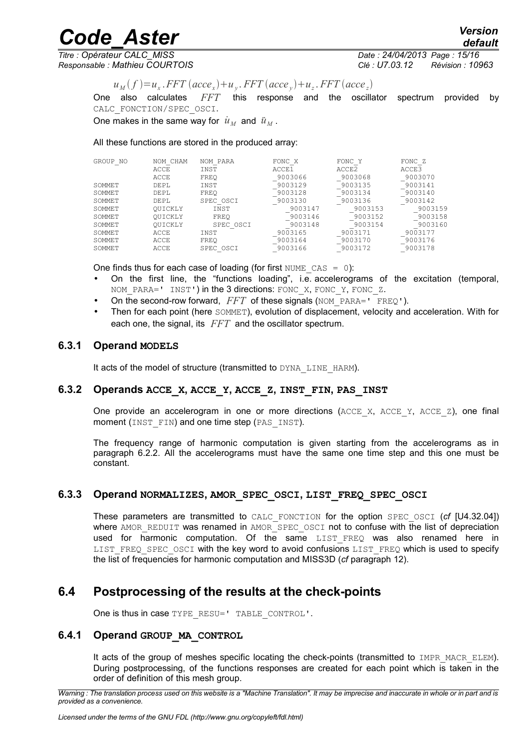*Titre : Opérateur CALC\_MISS Date : 24/04/2013 Page : 15/16 Responsable : Mathieu COURTOIS Clé : U7.03.12 Révision : 10963*

*default*

 $u_M(f) = u_x$ . *FFT*  $(acee_x) + u_y$ . *FFT*  $(acee_y) + u_z$ . *FFT*  $(acee_z)$ 

One also calculates *FFT* this response and the oscillator spectrum provided by CALC\_FONCTION/SPEC\_OSCI.

One makes in the same way for  $\dot{u}_M$  and  $\ddot{u}_M$ .

All these functions are stored in the produced array:

| GROUP NO      | NOM CHAM<br>ACCE<br>ACCE | NOM PARA<br>INST<br>FREO | FONC X<br>ACCE1<br>9003066 | FONC Y<br>ACCE2<br>9003068 | FONC Z<br>ACCE3<br>9003070 |
|---------------|--------------------------|--------------------------|----------------------------|----------------------------|----------------------------|
| <b>SOMMET</b> | DEPL                     | INST                     | 9003129                    | 9003135                    | 9003141                    |
| <b>SOMMET</b> | DEPL                     | FREO                     | 9003128                    | 9003134                    | 9003140                    |
| <b>SOMMET</b> | DEPL                     | SPEC OSCI                | 9003130                    | 9003136                    | 9003142                    |
| <b>SOMMET</b> | OUICKLY                  | INST                     | 9003147                    | 9003153                    | 9003159                    |
| <b>SOMMET</b> | OUICKLY                  | FREO                     | 9003146                    | 9003152                    | 9003158                    |
| <b>SOMMET</b> | OUICKLY                  | SPEC OSCI                | 9003148                    | 9003154                    | 9003160                    |
| <b>SOMMET</b> | ACCE                     | INST                     | 9003165                    | 9003171                    | 9003177                    |
| <b>SOMMET</b> | ACCE                     | FREO                     | 9003164                    | 9003170                    | 9003176                    |
| <b>SOMMET</b> | ACCE                     | SPEC OSCI                | 9003166                    | 9003172                    | 9003178                    |

One finds thus for each case of loading (for first NUME  $\text{CAS} = 0$ ):

- On the first line, the "functions loading", i.e. accelerograms of the excitation (temporal, NOM PARA=' INST') in the 3 directions: FONC X, FONC Y, FONC Z.
- On the second-row forward, FFT of these signals (NOM\_PARA=' FREQ').
- Then for each point (here SOMMET), evolution of displacement, velocity and acceleration. With for each one, the signal, its *FFT* and the oscillator spectrum.

#### **6.3.1 Operand MODELS**

<span id="page-14-2"></span><span id="page-14-1"></span>It acts of the model of structure (transmitted to DYNA\_LINE\_HARM).

#### **6.3.2 Operands ACCE\_X, ACCE\_Y, ACCE\_Z, INST\_FIN, PAS\_INST**

One provide an accelerogram in one or more directions ( $ACCEX$ ,  $ACCEY$ ,  $ACCEZ$ ), one final moment (INST FIN) and one time step (PAS INST).

The frequency range of harmonic computation is given starting from the accelerograms as in paragraph [6.2.2.](#page-13-1) All the accelerograms must have the same one time step and this one must be constant.

#### **6.3.3 Operand NORMALIZES, AMOR\_SPEC\_OSCI, LIST\_FREQ\_SPEC\_OSCI**

<span id="page-14-0"></span>These parameters are transmitted to CALC\_FONCTION for the option SPEC\_OSCI (*cf* [U4.32.04]) where AMOR\_REDUIT was renamed in AMOR\_SPEC\_OSCI not to confuse with the list of depreciation used for harmonic computation. Of the same LIST FREQ was also renamed here in LIST\_FREQ\_SPEC\_OSCI with the key word to avoid confusions LIST\_FREQ which is used to specify the list of frequencies for harmonic computation and MISS3D (*cf* paragraph [12\)](#page-11-1).

# **6.4 Postprocessing of the results at the check-points**

One is thus in case TYPE\_RESU=' TABLE\_CONTROL'.

#### **6.4.1 Operand GROUP\_MA\_CONTROL**

It acts of the group of meshes specific locating the check-points (transmitted to IMPR\_MACR\_ELEM). During postprocessing, of the functions responses are created for each point which is taken in the order of definition of this mesh group.

*Warning : The translation process used on this website is a "Machine Translation". It may be imprecise and inaccurate in whole or in part and is provided as a convenience.*